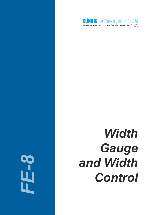

# *FE-8*

# *Width Gauge and Width Control*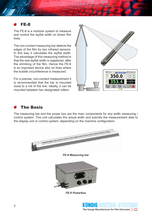# FE-8

The FE-8 is a modular system to measure and control the layflat width on blown film lines.

The non-contact measuring bar detects the edges of the film by two infrared sensors. In this way it calculates the layflat width. The advantage of this measuring method is that the real layflat width is registered, after the shrinking of the film. Hence the FE-8 is an important device also on lines where the bubble circumference is measured.

For a precise, non-contact measurement it is recommended that the bar is mounted close to a roll of the line. Ideally, it can be mounted between two designated rollers.



# The Basis

The measuring bar and the power box are the main components for any width measuring / control system. This unit calculates the actual width and submits the measurement data to the display unit or control system, depending on the machine configuration.



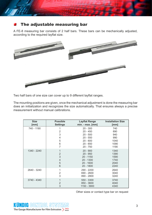# The adjustable measuring bar

A FE-8 measuring bar consists of 2 half bars. These bars can be mechanically adjusted, according to the required layflat size.



Two half bars of one size can cover up to 9 different layflat ranges.

The mounting positions are given, once the mechanical adjustment is done the measuring bar does an initialization and recognizes the size automatically. That ensures always a precise measurement without manual calibrations.

| <b>Size</b><br>[mm] | <b>Possible</b><br><b>Settings</b> | <b>Layflat Range</b><br>$min. - max. [mm]$ | <b>Installation Size</b><br>[mm] |
|---------------------|------------------------------------|--------------------------------------------|----------------------------------|
| 740 - 1190          | 1                                  | $20 - 300$                                 | 740                              |
|                     | 2                                  | $20 - 450$                                 | 890                              |
|                     | 3                                  | $20 - 500$                                 | 940                              |
|                     | 4                                  | $20 - 550$                                 | 990                              |
|                     | 5                                  | $20 - 600$                                 | 1040                             |
|                     | 6                                  | $20 - 650$                                 | 1090                             |
|                     | 7                                  | $20 - 750$                                 | 1190                             |
| 1340 - 2240         | 1                                  | $20 - 900$                                 | 1340                             |
|                     | $\overline{2}$                     | $20 - 950$                                 | 1390                             |
|                     | 3                                  | $20 - 1150$                                | 1590                             |
|                     | 4                                  | 20 - 1300                                  | 1740                             |
|                     | 5                                  | $20 - 1600$                                | 2040                             |
|                     | 6                                  | 20 - 1800                                  | 2240                             |
| 2640 - 3240         | 1                                  | 290 - 2200                                 | 2640                             |
|                     | $\overline{2}$                     | 690 - 2600                                 | 3040                             |
|                     | 3                                  | 890 - 2800                                 | 3240                             |
| 3740 - 4340         | 1                                  | 550 - 3300                                 | 3740                             |
|                     | $\overline{2}$                     | 850 - 3600                                 | 4040                             |
|                     | 3                                  | 1150 - 3900                                | 4340                             |

Other sizes or contact type bar on request

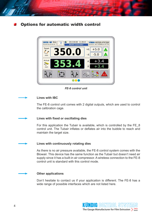# Options for automatic width control



*FE-8 control unit*

# **Lines with IBC**

The FE-8 control unit comes with 2 digital outputs, which are used to control the calibration cage.

# **Lines with fixed or oscillating dies**

For this application the Tubair is available, which is controlled by the FE\_8 control unit. The Tubair inflates or deflates air into the bubble to reach and maintain the target size.

# **Lines with continuously rotating dies**

As there is no air pressure available, the FE-8 control system comes with the Blowair. This device has the same function as the Tubair but doesn't need air supply since it has a built-in air compressor. A wireless connection to the FE-8 control unit is standard with this control mode.

# **Other applications**

Don't hesitate to contact us if your application is different. The FE-8 has a wide range of possible interfaces which are not listed here.

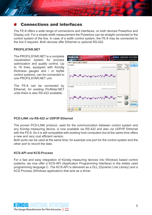# Connections and interfaces

The FE-8 offers a wide range of connections and interfaces, on both devices Powerbox and Display unit. For a simple width measurement the Powerbox can be straight connected to the control system of the line. In case of a width control system, the FE-8 may be connected to the line if required. Both devices offer Ethernet or optional RS-422.

# **PROFILSTAR.NET**

The PROFILSTAR.NET is a complete visualization system for process optimization and quality control. Up to 16 lines, equipped with Kündig thickness gauges and / or layflat control systems, can be connected to one PROFILSTAR.NET unit.

The FE-8 can be connected by Ethernet, for existing Profilstar.NET units there is also RS-422 available.



# **PCD-LINK via RS-422 or UDP/IP Ethernet**

The proven PCD-LINK protocol, used for the communication between control system and any Kündig measuring device, is now available via RS-422 and also via UDP/IP Ethernet with the FE-8. So it is still compatible with existing host computers but at the same time offers a new and very cost efficient version.

Both ports can be used at the same time, for example one port for the control system and the other port to record the data.

# **KCS-API and KCS-Process**

For a fast and easy integration of Kündig measuring devices into Windows based control systems, we now offer a KCS-API (Application Programming Interface) in the widely used programming language C. The KCS-API is delivered as a DLL (Dynamic Link Library) and a KCS Process (Windows application) that acts as a driver.

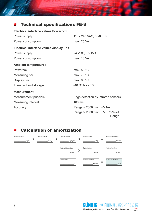#### Technical specifications FE-8 酉

1970

| <b>Electrical interface values Powerbox</b> |                                          |  |  |  |
|---------------------------------------------|------------------------------------------|--|--|--|
| Power supply                                | 110 - 240 VAC, 50/60 Hz                  |  |  |  |
| Power consumption                           | max. 25 VA                               |  |  |  |
| Electrical interface values display unit    |                                          |  |  |  |
| Power supply                                | 24 VDC, +/- 15%                          |  |  |  |
| Power consumption                           | max. 10 VA                               |  |  |  |
| <b>Ambient temperatures</b>                 |                                          |  |  |  |
| Powerbox                                    | max. 50 °C                               |  |  |  |
| Measuring bar                               | max. 70 °C                               |  |  |  |
| Display unit                                | max. $60 °C$                             |  |  |  |
| Transport and storage                       | -40 °C bis 70 °C                         |  |  |  |
| <b>Measurement</b>                          |                                          |  |  |  |
| Measurement principle                       | Edge detection by infrared sensors       |  |  |  |
| Measuring interval                          | 100 ms                                   |  |  |  |
| Accuracy                                    | Range < $2000$ mm: +/- 1mm               |  |  |  |
|                                             | Range > 2000mm: $+/- 0.75$ ‰ of<br>Range |  |  |  |

# Calculation of amortization



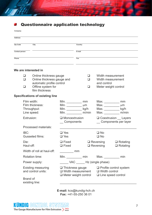

# Questionnaire application technology

**Company**

| <b>Address</b>                            |                                                                                                                                               |                                        |                                    |                                                                                                |                                        |                                                                                    |  |
|-------------------------------------------|-----------------------------------------------------------------------------------------------------------------------------------------------|----------------------------------------|------------------------------------|------------------------------------------------------------------------------------------------|----------------------------------------|------------------------------------------------------------------------------------|--|
| Zip Code<br>City<br><b>Contact person</b> |                                                                                                                                               |                                        | Country                            |                                                                                                |                                        |                                                                                    |  |
|                                           |                                                                                                                                               |                                        | E-mail                             |                                                                                                |                                        |                                                                                    |  |
| Phone                                     |                                                                                                                                               |                                        | Fax                                |                                                                                                |                                        |                                                                                    |  |
|                                           |                                                                                                                                               | We are interested in                   |                                    |                                                                                                |                                        |                                                                                    |  |
|                                           | Online thickness gauge<br>$\Box$<br>Online thickness gauge and<br>❏<br>automatic profile control<br>Offline system for<br>❏<br>film thickness |                                        | ப<br>□<br>$\Box$                   |                                                                                                |                                        | Width measurement<br>Width measurement<br>and control<br>Meter weight control      |  |
|                                           |                                                                                                                                               | <b>Specifications of existing line</b> |                                    |                                                                                                |                                        |                                                                                    |  |
|                                           | Film width:<br>Film thickness:<br>Throughput:<br>Line speed:<br>Extrusion:<br>Processed materials:                                            |                                        | Min.                               | Min. $\frac{1}{\sqrt{1-\frac{1}{2}}}\$ mm<br>Min. $\mu$ m<br>Min. ______________ kg/h<br>m/min | Max. $\_\_$<br>Max.<br>Max.<br>Max.    | mm<br>$\mu$ m<br>kg/h<br>m/min                                                     |  |
|                                           |                                                                                                                                               |                                        | $\Box$ Monoextrusion<br>Components |                                                                                                |                                        | $\Box$ Coextrusion $\Box$ Layers<br>_ Components per layer                         |  |
|                                           |                                                                                                                                               |                                        |                                    |                                                                                                |                                        |                                                                                    |  |
|                                           | IBC:                                                                                                                                          | Gusseted films:                        | $\square$ Yes<br>$\Box$ Yes        |                                                                                                | $\square$ No<br>$\square$ No           |                                                                                    |  |
|                                           | Die:<br>Haul-off:<br>Width of roll at haul-off:                                                                                               |                                        | $\Box$ Fixed<br>$\Box$ Fixed       |                                                                                                | $\Box$ Reversing<br>$\Box$ Reversing   | $\Box$ Rotating<br>$\Box$ Rotating                                                 |  |
|                                           |                                                                                                                                               |                                        | <u>mm</u>                          |                                                                                                |                                        |                                                                                    |  |
|                                           |                                                                                                                                               | Rotation time:                         |                                    |                                                                                                | Min. _____________ min Max. __________ | min                                                                                |  |
|                                           | Power supply:                                                                                                                                 |                                        |                                    |                                                                                                | VAC _________ Hz (single phase)        |                                                                                    |  |
|                                           | <b>Existing measuring</b><br>and control units:                                                                                               |                                        |                                    | $\Box$ Thickness gauge<br>$\Box$ Width measurement<br>$\Box$ Meter weight control              |                                        | $\Box$ Profile control system<br>$\Box$ Width control<br>$\Box$ Line speed control |  |
|                                           | <b>Brand of</b>                                                                                                                               | existing line:                         |                                    |                                                                                                |                                        |                                                                                    |  |

**E-mail:** kcs@kundig-hch.ch **Fax:** +41-55-250 36 01